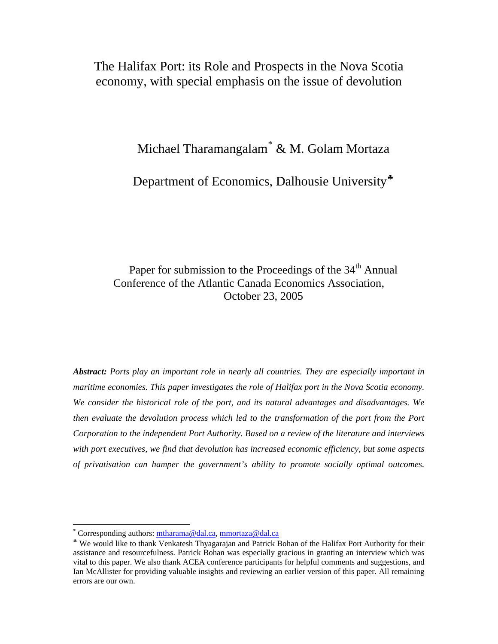The Halifax Port: its Role and Prospects in the Nova Scotia economy, with special emphasis on the issue of devolution

# Michael Tharamangalam[\\*](#page-0-0) & M. Golam Mortaza

Department of Economics, Dalhousie University<sup>\*</sup>

# Paper for submission to the Proceedings of the 34<sup>th</sup> Annual Conference of the Atlantic Canada Economics Association, October 23, 2005

*Abstract: Ports play an important role in nearly all countries. They are especially important in maritime economies. This paper investigates the role of Halifax port in the Nova Scotia economy. We consider the historical role of the port, and its natural advantages and disadvantages. We then evaluate the devolution process which led to the transformation of the port from the Port Corporation to the independent Port Authority. Based on a review of the literature and interviews with port executives, we find that devolution has increased economic efficiency, but some aspects of privatisation can hamper the government's ability to promote socially optimal outcomes.* 

<sup>\*&</sup>lt;br>Corresponding authors: **mtharama@dal.ca, mmortaza@dal.ca** 

<span id="page-0-1"></span><span id="page-0-0"></span><sup>♣</sup> We would like to thank Venkatesh Thyagarajan and Patrick Bohan of the Halifax Port Authority for their assistance and resourcefulness. Patrick Bohan was especially gracious in granting an interview which was vital to this paper. We also thank ACEA conference participants for helpful comments and suggestions, and Ian McAllister for providing valuable insights and reviewing an earlier version of this paper. All remaining errors are our own.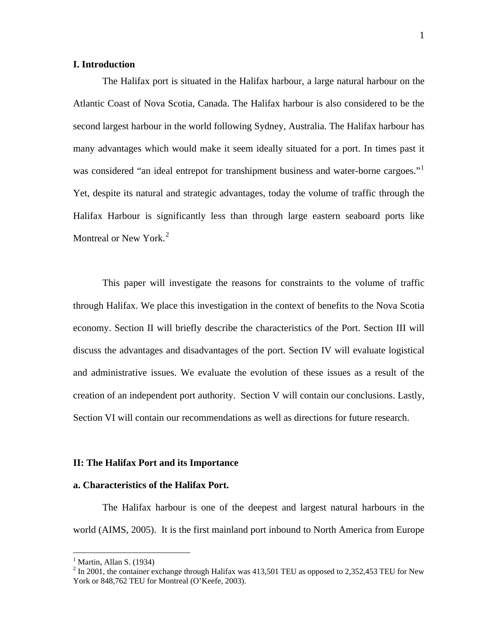#### **I. Introduction**

The Halifax port is situated in the Halifax harbour, a large natural harbour on the Atlantic Coast of Nova Scotia, Canada. The Halifax harbour is also considered to be the second largest harbour in the world following Sydney, Australia. The Halifax harbour has many advantages which would make it seem ideally situated for a port. In times past it was considered "an ideal entrepot for transhipment business and water-borne cargoes."<sup>[1](#page-1-0)</sup> Yet, despite its natural and strategic advantages, today the volume of traffic through the Halifax Harbour is significantly less than through large eastern seaboard ports like Montreal or New York.<sup>[2](#page-1-1)</sup>

This paper will investigate the reasons for constraints to the volume of traffic through Halifax. We place this investigation in the context of benefits to the Nova Scotia economy. Section II will briefly describe the characteristics of the Port. Section III will discuss the advantages and disadvantages of the port. Section IV will evaluate logistical and administrative issues. We evaluate the evolution of these issues as a result of the creation of an independent port authority. Section V will contain our conclusions. Lastly, Section VI will contain our recommendations as well as directions for future research.

#### **II: The Halifax Port and its Importance**

### **a. Characteristics of the Halifax Port.**

The Halifax harbour is one of the deepest and largest natural harbours in the world (AIMS, 2005). It is the first mainland port inbound to North America from Europe

 $\overline{a}$ 

<sup>&</sup>lt;sup>1</sup> Martin, Allan S. (1934)

<span id="page-1-1"></span><span id="page-1-0"></span> $2 \text{ In } 2001$ , the container exchange through Halifax was 413,501 TEU as opposed to 2,352,453 TEU for New York or 848,762 TEU for Montreal (O'Keefe, 2003).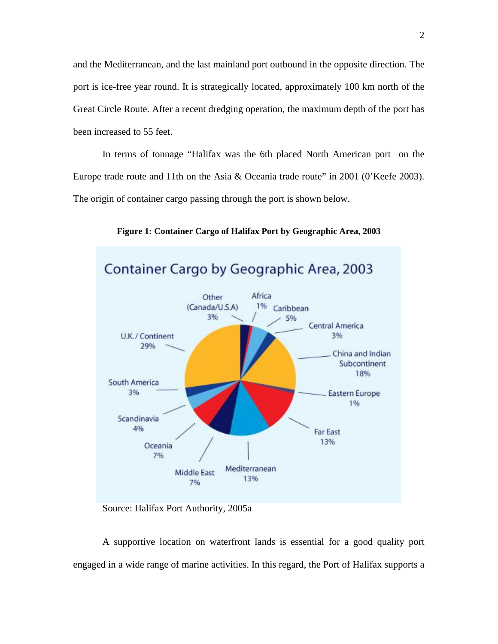and the Mediterranean, and the last mainland port outbound in the opposite direction. The port is ice-free year round. It is strategically located, approximately 100 km north of the Great Circle Route. After a recent dredging operation, the maximum depth of the port has been increased to 55 feet.

In terms of tonnage "Halifax was the 6th placed North American port on the Europe trade route and 11th on the Asia & Oceania trade route" in 2001 (0'Keefe 2003). The origin of container cargo passing through the port is shown below.



**Figure 1: Container Cargo of Halifax Port by Geographic Area, 2003** 

A supportive location on waterfront lands is essential for a good quality port engaged in a wide range of marine activities. In this regard, the Port of Halifax supports a

Source: Halifax Port Authority, 2005a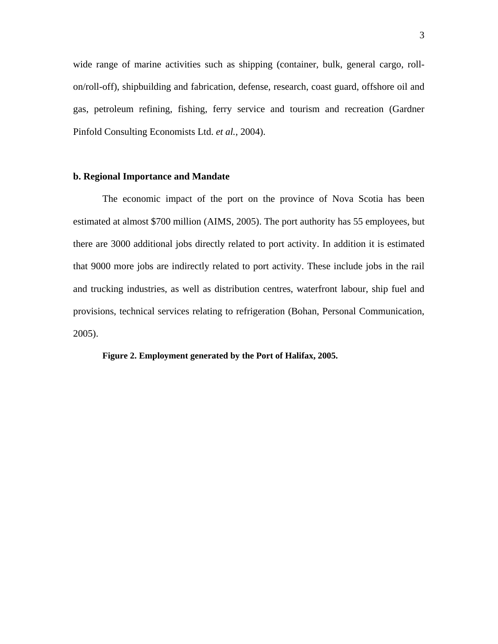wide range of marine activities such as shipping (container, bulk, general cargo, rollon/roll-off), shipbuilding and fabrication, defense, research, coast guard, offshore oil and gas, petroleum refining, fishing, ferry service and tourism and recreation (Gardner Pinfold Consulting Economists Ltd. *et al.*, 2004).

## **b. Regional Importance and Mandate**

The economic impact of the port on the province of Nova Scotia has been estimated at almost \$700 million (AIMS, 2005). The port authority has 55 employees, but there are 3000 additional jobs directly related to port activity. In addition it is estimated that 9000 more jobs are indirectly related to port activity. These include jobs in the rail and trucking industries, as well as distribution centres, waterfront labour, ship fuel and provisions, technical services relating to refrigeration (Bohan, Personal Communication, 2005).

**Figure 2. Employment generated by the Port of Halifax, 2005.**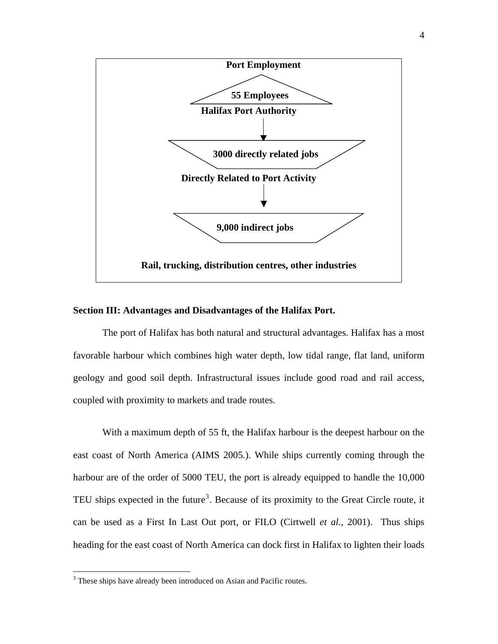

#### **Section III: Advantages and Disadvantages of the Halifax Port.**

The port of Halifax has both natural and structural advantages. Halifax has a most favorable harbour which combines high water depth, low tidal range, flat land, uniform geology and good soil depth. Infrastructural issues include good road and rail access, coupled with proximity to markets and trade routes.

With a maximum depth of 55 ft, the Halifax harbour is the deepest harbour on the east coast of North America (AIMS 2005*.*). While ships currently coming through the harbour are of the order of 5000 TEU, the port is already equipped to handle the 10,000 TEU ships expected in the future<sup>[3](#page-4-0)</sup>. Because of its proximity to the Great Circle route, it can be used as a First In Last Out port, or FILO (Cirtwell *et al.*, 2001). Thus ships heading for the east coast of North America can dock first in Halifax to lighten their loads

 $\overline{a}$ 

<span id="page-4-0"></span> $3$  These ships have already been introduced on Asian and Pacific routes.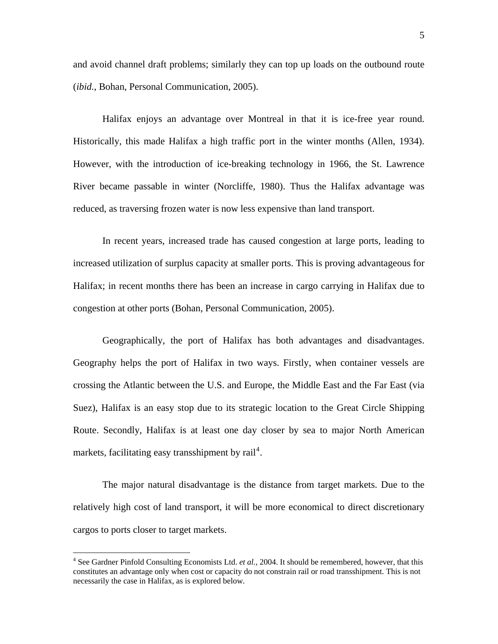and avoid channel draft problems; similarly they can top up loads on the outbound route (*ibid.*, Bohan, Personal Communication, 2005).

Halifax enjoys an advantage over Montreal in that it is ice-free year round. Historically, this made Halifax a high traffic port in the winter months (Allen, 1934). However, with the introduction of ice-breaking technology in 1966, the St. Lawrence River became passable in winter (Norcliffe, 1980). Thus the Halifax advantage was reduced, as traversing frozen water is now less expensive than land transport.

In recent years, increased trade has caused congestion at large ports, leading to increased utilization of surplus capacity at smaller ports. This is proving advantageous for Halifax; in recent months there has been an increase in cargo carrying in Halifax due to congestion at other ports (Bohan, Personal Communication, 2005).

Geographically, the port of Halifax has both advantages and disadvantages. Geography helps the port of Halifax in two ways. Firstly, when container vessels are crossing the Atlantic between the U.S. and Europe, the Middle East and the Far East (via Suez), Halifax is an easy stop due to its strategic location to the Great Circle Shipping Route. Secondly, Halifax is at least one day closer by sea to major North American markets, facilitating easy transshipment by  $\text{raid}^4$  $\text{raid}^4$ .

The major natural disadvantage is the distance from target markets. Due to the relatively high cost of land transport, it will be more economical to direct discretionary cargos to ports closer to target markets.

 $\overline{a}$ 

<span id="page-5-0"></span><sup>&</sup>lt;sup>4</sup> See Gardner Pinfold Consulting Economists Ltd. *et al.*, 2004. It should be remembered, however, that this constitutes an advantage only when cost or capacity do not constrain rail or road transshipment. This is not necessarily the case in Halifax, as is explored below.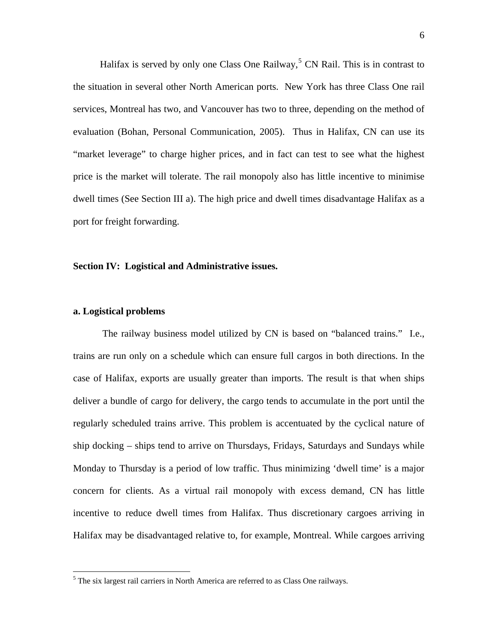Halifax is served by only one Class One Railway,<sup>[5](#page-6-0)</sup> CN Rail. This is in contrast to the situation in several other North American ports. New York has three Class One rail services, Montreal has two, and Vancouver has two to three, depending on the method of evaluation (Bohan, Personal Communication, 2005). Thus in Halifax, CN can use its "market leverage" to charge higher prices, and in fact can test to see what the highest price is the market will tolerate. The rail monopoly also has little incentive to minimise dwell times (See Section III a). The high price and dwell times disadvantage Halifax as a port for freight forwarding.

#### **Section IV: Logistical and Administrative issues.**

#### **a. Logistical problems**

 $\overline{a}$ 

The railway business model utilized by CN is based on "balanced trains." I.e., trains are run only on a schedule which can ensure full cargos in both directions. In the case of Halifax, exports are usually greater than imports. The result is that when ships deliver a bundle of cargo for delivery, the cargo tends to accumulate in the port until the regularly scheduled trains arrive. This problem is accentuated by the cyclical nature of ship docking – ships tend to arrive on Thursdays, Fridays, Saturdays and Sundays while Monday to Thursday is a period of low traffic. Thus minimizing 'dwell time' is a major concern for clients. As a virtual rail monopoly with excess demand, CN has little incentive to reduce dwell times from Halifax. Thus discretionary cargoes arriving in Halifax may be disadvantaged relative to, for example, Montreal. While cargoes arriving

<span id="page-6-0"></span> $<sup>5</sup>$  The six largest rail carriers in North America are referred to as Class One railways.</sup>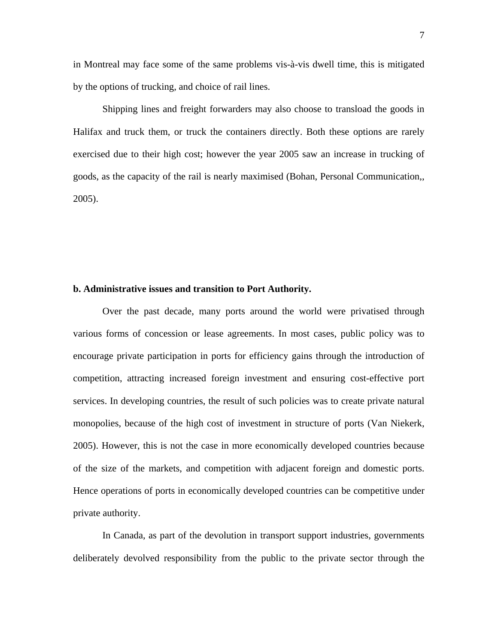in Montreal may face some of the same problems vis-à-vis dwell time, this is mitigated by the options of trucking, and choice of rail lines.

Shipping lines and freight forwarders may also choose to transload the goods in Halifax and truck them, or truck the containers directly. Both these options are rarely exercised due to their high cost; however the year 2005 saw an increase in trucking of goods, as the capacity of the rail is nearly maximised (Bohan, Personal Communication,, 2005).

#### **b. Administrative issues and transition to Port Authority.**

Over the past decade, many ports around the world were privatised through various forms of concession or lease agreements. In most cases, public policy was to encourage private participation in ports for efficiency gains through the introduction of competition, attracting increased foreign investment and ensuring cost-effective port services. In developing countries, the result of such policies was to create private natural monopolies, because of the high cost of investment in structure of ports (Van Niekerk, 2005). However, this is not the case in more economically developed countries because of the size of the markets, and competition with adjacent foreign and domestic ports. Hence operations of ports in economically developed countries can be competitive under private authority.

In Canada, as part of the devolution in transport support industries, governments deliberately devolved responsibility from the public to the private sector through the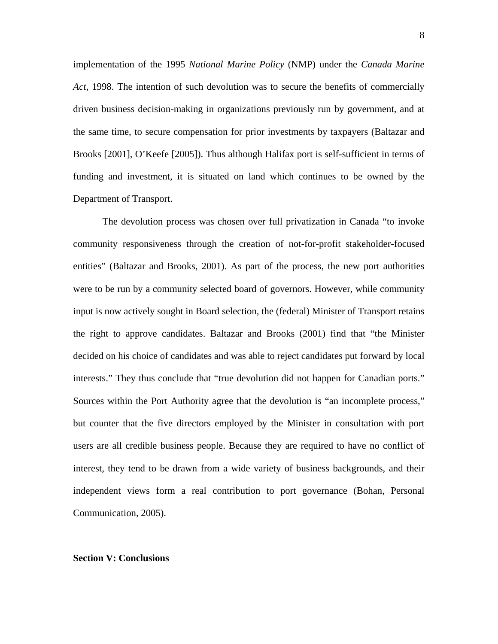implementation of the 1995 *National Marine Policy* (NMP) under the *Canada Marine Act,* 1998. The intention of such devolution was to secure the benefits of commercially driven business decision-making in organizations previously run by government, and at the same time, to secure compensation for prior investments by taxpayers (Baltazar and Brooks [2001], O'Keefe [2005]). Thus although Halifax port is self-sufficient in terms of funding and investment, it is situated on land which continues to be owned by the Department of Transport.

The devolution process was chosen over full privatization in Canada "to invoke community responsiveness through the creation of not-for-profit stakeholder-focused entities" (Baltazar and Brooks, 2001). As part of the process, the new port authorities were to be run by a community selected board of governors. However, while community input is now actively sought in Board selection, the (federal) Minister of Transport retains the right to approve candidates. Baltazar and Brooks (2001) find that "the Minister decided on his choice of candidates and was able to reject candidates put forward by local interests." They thus conclude that "true devolution did not happen for Canadian ports." Sources within the Port Authority agree that the devolution is "an incomplete process," but counter that the five directors employed by the Minister in consultation with port users are all credible business people. Because they are required to have no conflict of interest, they tend to be drawn from a wide variety of business backgrounds, and their independent views form a real contribution to port governance (Bohan, Personal Communication, 2005).

#### **Section V: Conclusions**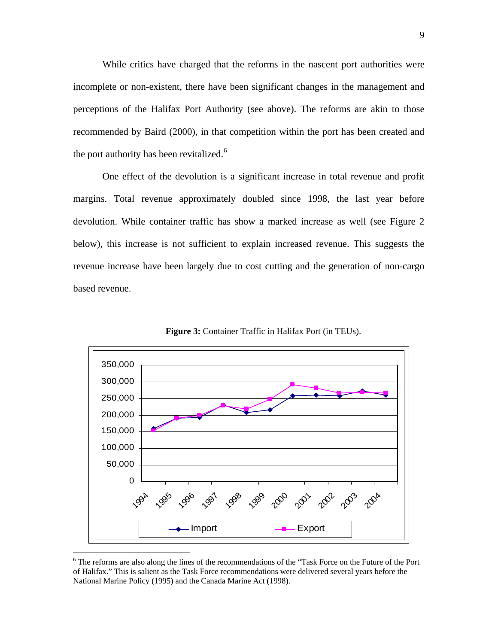While critics have charged that the reforms in the nascent port authorities were incomplete or non-existent, there have been significant changes in the management and perceptions of the Halifax Port Authority (see above). The reforms are akin to those recommended by Baird (2000), in that competition within the port has been created and the port authority has been revitalized.<sup>[6](#page-9-0)</sup>

One effect of the devolution is a significant increase in total revenue and profit margins. Total revenue approximately doubled since 1998, the last year before devolution. While container traffic has show a marked increase as well (see Figure 2 below), this increase is not sufficient to explain increased revenue. This suggests the revenue increase have been largely due to cost cutting and the generation of non-cargo based revenue.



**Figure 3:** Container Traffic in Halifax Port (in TEUs).

1

<span id="page-9-0"></span><sup>&</sup>lt;sup>6</sup> The reforms are also along the lines of the recommendations of the "Task Force on the Future of the Port of Halifax." This is salient as the Task Force recommendations were delivered several years before the National Marine Policy (1995) and the Canada Marine Act (1998).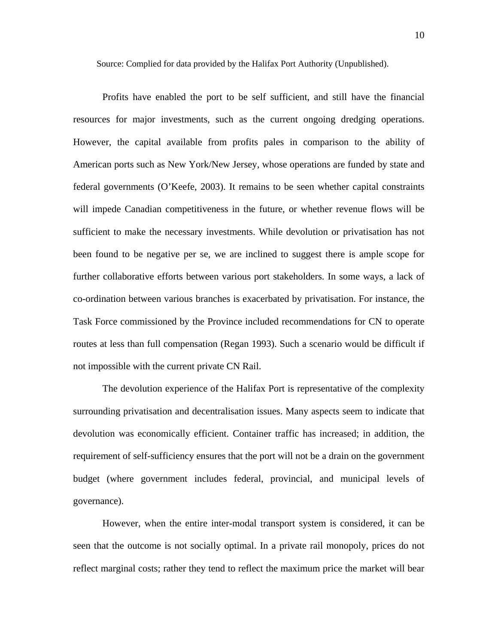Source: Complied for data provided by the Halifax Port Authority (Unpublished).

Profits have enabled the port to be self sufficient, and still have the financial resources for major investments, such as the current ongoing dredging operations. However, the capital available from profits pales in comparison to the ability of American ports such as New York/New Jersey, whose operations are funded by state and federal governments (O'Keefe, 2003). It remains to be seen whether capital constraints will impede Canadian competitiveness in the future, or whether revenue flows will be sufficient to make the necessary investments. While devolution or privatisation has not been found to be negative per se, we are inclined to suggest there is ample scope for further collaborative efforts between various port stakeholders. In some ways, a lack of co-ordination between various branches is exacerbated by privatisation. For instance, the Task Force commissioned by the Province included recommendations for CN to operate routes at less than full compensation (Regan 1993). Such a scenario would be difficult if not impossible with the current private CN Rail.

The devolution experience of the Halifax Port is representative of the complexity surrounding privatisation and decentralisation issues. Many aspects seem to indicate that devolution was economically efficient. Container traffic has increased; in addition, the requirement of self-sufficiency ensures that the port will not be a drain on the government budget (where government includes federal, provincial, and municipal levels of governance).

However, when the entire inter-modal transport system is considered, it can be seen that the outcome is not socially optimal. In a private rail monopoly, prices do not reflect marginal costs; rather they tend to reflect the maximum price the market will bear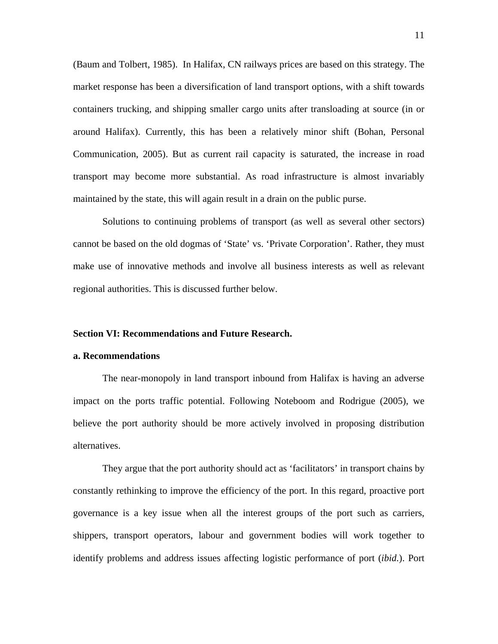(Baum and Tolbert, 1985). In Halifax, CN railways prices are based on this strategy. The market response has been a diversification of land transport options, with a shift towards containers trucking, and shipping smaller cargo units after transloading at source (in or around Halifax). Currently, this has been a relatively minor shift (Bohan, Personal Communication, 2005). But as current rail capacity is saturated, the increase in road transport may become more substantial. As road infrastructure is almost invariably maintained by the state, this will again result in a drain on the public purse.

Solutions to continuing problems of transport (as well as several other sectors) cannot be based on the old dogmas of 'State' vs. 'Private Corporation'. Rather, they must make use of innovative methods and involve all business interests as well as relevant regional authorities. This is discussed further below.

#### **Section VI: Recommendations and Future Research.**

#### **a. Recommendations**

The near-monopoly in land transport inbound from Halifax is having an adverse impact on the ports traffic potential. Following Noteboom and Rodrigue (2005), we believe the port authority should be more actively involved in proposing distribution alternatives.

They argue that the port authority should act as 'facilitators' in transport chains by constantly rethinking to improve the efficiency of the port. In this regard, proactive port governance is a key issue when all the interest groups of the port such as carriers, shippers, transport operators, labour and government bodies will work together to identify problems and address issues affecting logistic performance of port (*ibid.*). Port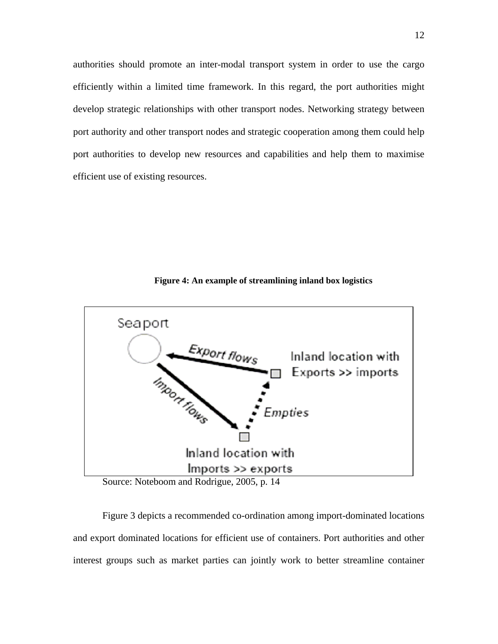authorities should promote an inter-modal transport system in order to use the cargo efficiently within a limited time framework. In this regard, the port authorities might develop strategic relationships with other transport nodes. Networking strategy between port authority and other transport nodes and strategic cooperation among them could help port authorities to develop new resources and capabilities and help them to maximise efficient use of existing resources.



**Figure 4: An example of streamlining inland box logistics** 

Figure 3 depicts a recommended co-ordination among import-dominated locations and export dominated locations for efficient use of containers. Port authorities and other interest groups such as market parties can jointly work to better streamline container

Source: Noteboom and Rodrigue, 2005, p. 14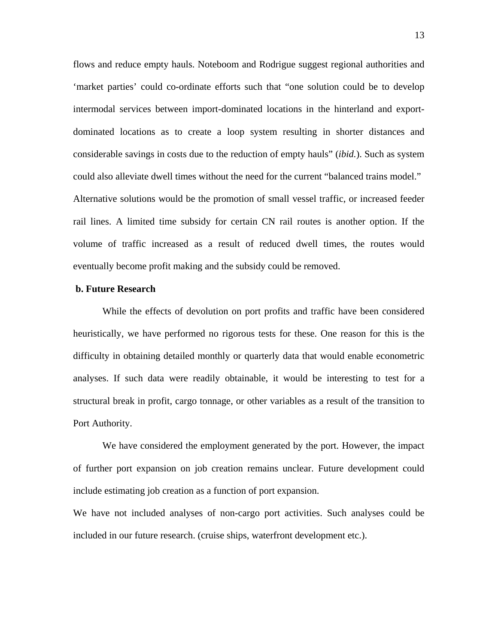flows and reduce empty hauls. Noteboom and Rodrigue suggest regional authorities and 'market parties' could co-ordinate efforts such that "one solution could be to develop intermodal services between import-dominated locations in the hinterland and exportdominated locations as to create a loop system resulting in shorter distances and considerable savings in costs due to the reduction of empty hauls" (*ibid.*). Such as system could also alleviate dwell times without the need for the current "balanced trains model." Alternative solutions would be the promotion of small vessel traffic, or increased feeder rail lines. A limited time subsidy for certain CN rail routes is another option. If the volume of traffic increased as a result of reduced dwell times, the routes would eventually become profit making and the subsidy could be removed.

#### **b. Future Research**

While the effects of devolution on port profits and traffic have been considered heuristically, we have performed no rigorous tests for these. One reason for this is the difficulty in obtaining detailed monthly or quarterly data that would enable econometric analyses. If such data were readily obtainable, it would be interesting to test for a structural break in profit, cargo tonnage, or other variables as a result of the transition to Port Authority.

We have considered the employment generated by the port. However, the impact of further port expansion on job creation remains unclear. Future development could include estimating job creation as a function of port expansion.

We have not included analyses of non-cargo port activities. Such analyses could be included in our future research. (cruise ships, waterfront development etc.).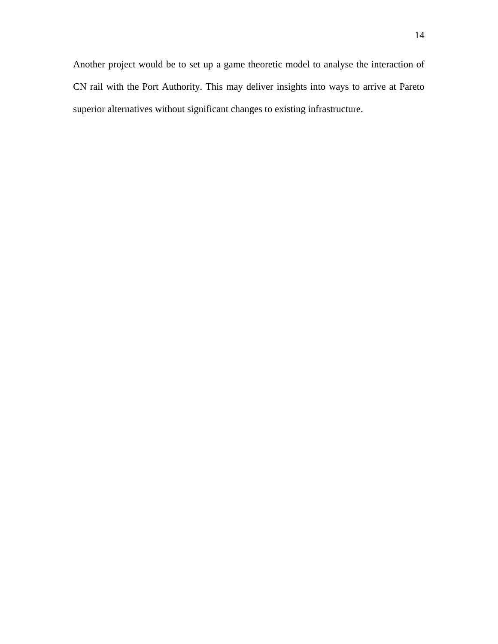Another project would be to set up a game theoretic model to analyse the interaction of CN rail with the Port Authority. This may deliver insights into ways to arrive at Pareto superior alternatives without significant changes to existing infrastructure.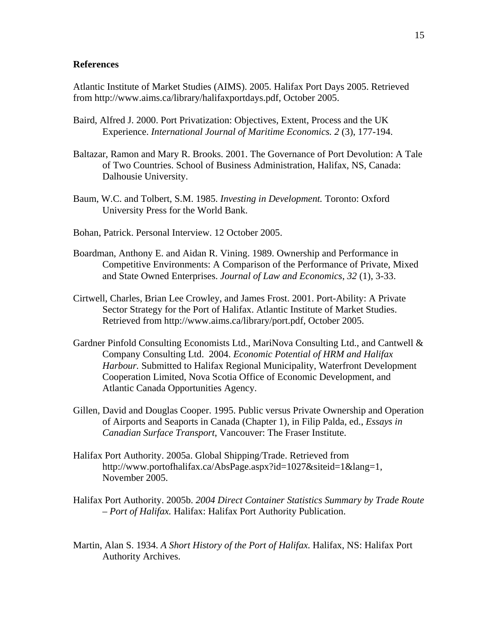#### **References**

Atlantic Institute of Market Studies (AIMS). 2005. Halifax Port Days 2005. Retrieved from http://www.aims.ca/library/halifaxportdays.pdf, October 2005.

- Baird, Alfred J. 2000. Port Privatization: Objectives, Extent, Process and the UK Experience. *International Journal of Maritime Economics. 2* (3), 177-194.
- Baltazar, Ramon and Mary R. Brooks. 2001. The Governance of Port Devolution: A Tale of Two Countries. School of Business Administration, Halifax, NS, Canada: Dalhousie University.
- Baum, W.C. and Tolbert, S.M. 1985. *Investing in Development.* Toronto: Oxford University Press for the World Bank.
- Bohan, Patrick. Personal Interview. 12 October 2005.
- Boardman, Anthony E. and Aidan R. Vining. 1989. Ownership and Performance in Competitive Environments: A Comparison of the Performance of Private, Mixed and State Owned Enterprises. *Journal of Law and Economics*, *32* (1), 3-33.
- Cirtwell, Charles, Brian Lee Crowley, and James Frost. 2001. Port-Ability: A Private Sector Strategy for the Port of Halifax. Atlantic Institute of Market Studies. Retrieved from http://www.aims.ca/library/port.pdf, October 2005.
- Gardner Pinfold Consulting Economists Ltd., MariNova Consulting Ltd., and Cantwell & Company Consulting Ltd. 2004. *Economic Potential of HRM and Halifax Harbour.* Submitted to Halifax Regional Municipality, Waterfront Development Cooperation Limited, Nova Scotia Office of Economic Development, and Atlantic Canada Opportunities Agency.
- Gillen, David and Douglas Cooper. 1995. Public versus Private Ownership and Operation of Airports and Seaports in Canada (Chapter 1), in Filip Palda, ed., *Essays in Canadian Surface Transport*, Vancouver: The Fraser Institute.
- Halifax Port Authority. 2005a. Global Shipping/Trade. Retrieved from http://www.portofhalifax.ca/AbsPage.aspx?id=1027&siteid=1&lang=1, November 2005.
- Halifax Port Authority. 2005b. *2004 Direct Container Statistics Summary by Trade Route – Port of Halifax.* Halifax: Halifax Port Authority Publication.
- Martin, Alan S. 1934. *A Short History of the Port of Halifax.* Halifax, NS: Halifax Port Authority Archives.